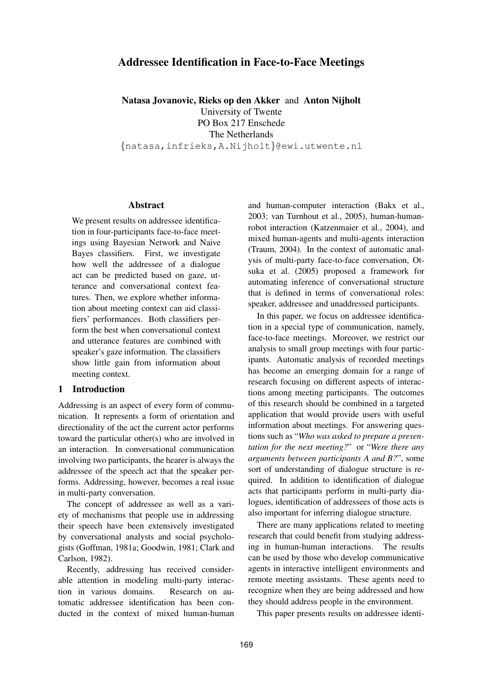# **Addressee Identification in Face-to-Face Meetings**

**Natasa Jovanovic, Rieks op den Akker** and **Anton Nijholt** University of Twente PO Box 217 Enschede The Netherlands

{natasa,infrieks,A.Nijholt}@ewi.utwente.nl

#### **Abstract**

We present results on addressee identification in four-participants face-to-face meetings using Bayesian Network and Naive Bayes classifiers. First, we investigate how well the addressee of a dialogue act can be predicted based on gaze, utterance and conversational context features. Then, we explore whether information about meeting context can aid classifiers' performances. Both classifiers perform the best when conversational context and utterance features are combined with speaker's gaze information. The classifiers show little gain from information about meeting context.

#### **1 Introduction**

Addressing is an aspect of every form of communication. It represents a form of orientation and directionality of the act the current actor performs toward the particular other(s) who are involved in an interaction. In conversational communication involving two participants, the hearer is always the addressee of the speech act that the speaker performs. Addressing, however, becomes a real issue in multi-party conversation.

The concept of addressee as well as a variety of mechanisms that people use in addressing their speech have been extensively investigated by conversational analysts and social psychologists (Goffman, 1981a; Goodwin, 1981; Clark and Carlson, 1982).

Recently, addressing has received considerable attention in modeling multi-party interaction in various domains. Research on automatic addressee identification has been conducted in the context of mixed human-human

and human-computer interaction (Bakx et al., 2003; van Turnhout et al., 2005), human-humanrobot interaction (Katzenmaier et al., 2004), and mixed human-agents and multi-agents interaction (Traum, 2004). In the context of automatic analysis of multi-party face-to-face conversation, Otsuka et al. (2005) proposed a framework for automating inference of conversational structure that is defined in terms of conversational roles: speaker, addressee and unaddressed participants.

In this paper, we focus on addressee identification in a special type of communication, namely, face-to-face meetings. Moreover, we restrict our analysis to small group meetings with four participants. Automatic analysis of recorded meetings has become an emerging domain for a range of research focusing on different aspects of interactions among meeting participants. The outcomes of this research should be combined in a targeted application that would provide users with useful information about meetings. For answering questions such as "*Who was asked to prepare a presentation for the next meeting?*" or "*Were there any arguments between participants A and B?*", some sort of understanding of dialogue structure is required. In addition to identification of dialogue acts that participants perform in multi-party dialogues, identification of addressees of those acts is also important for inferring dialogue structure.

There are many applications related to meeting research that could benefit from studying addressing in human-human interactions. The results can be used by those who develop communicative agents in interactive intelligent environments and remote meeting assistants. These agents need to recognize when they are being addressed and how they should address people in the environment.

This paper presents results on addressee identi-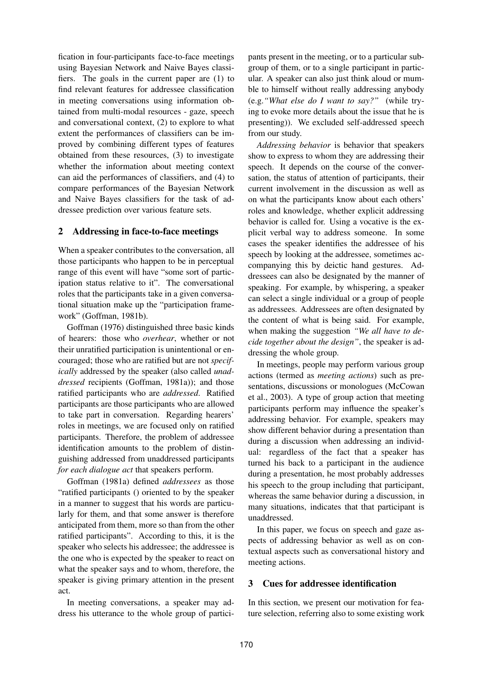fication in four-participants face-to-face meetings using Bayesian Network and Naive Bayes classifiers. The goals in the current paper are (1) to find relevant features for addressee classification in meeting conversations using information obtained from multi-modal resources - gaze, speech and conversational context, (2) to explore to what extent the performances of classifiers can be improved by combining different types of features obtained from these resources, (3) to investigate whether the information about meeting context can aid the performances of classifiers, and (4) to compare performances of the Bayesian Network and Naive Bayes classifiers for the task of addressee prediction over various feature sets.

## **2 Addressing in face-to-face meetings**

When a speaker contributes to the conversation, all those participants who happen to be in perceptual range of this event will have "some sort of participation status relative to it". The conversational roles that the participants take in a given conversational situation make up the "participation framework" (Goffman, 1981b).

Goffman (1976) distinguished three basic kinds of hearers: those who *overhear*, whether or not their unratified participation is unintentional or encouraged; those who are ratified but are not *specifically* addressed by the speaker (also called *unaddressed* recipients (Goffman, 1981a)); and those ratified participants who are *addressed*. Ratified participants are those participants who are allowed to take part in conversation. Regarding hearers' roles in meetings, we are focused only on ratified participants. Therefore, the problem of addressee identification amounts to the problem of distinguishing addressed from unaddressed participants *for each dialogue act* that speakers perform.

Goffman (1981a) defined *addressees* as those "ratified participants () oriented to by the speaker in a manner to suggest that his words are particularly for them, and that some answer is therefore anticipated from them, more so than from the other ratified participants". According to this, it is the speaker who selects his addressee; the addressee is the one who is expected by the speaker to react on what the speaker says and to whom, therefore, the speaker is giving primary attention in the present act.

In meeting conversations, a speaker may address his utterance to the whole group of participants present in the meeting, or to a particular subgroup of them, or to a single participant in particular. A speaker can also just think aloud or mumble to himself without really addressing anybody (e.g.*"What else do I want to say?"* (while trying to evoke more details about the issue that he is presenting)). We excluded self-addressed speech from our study.

*Addressing behavior* is behavior that speakers show to express to whom they are addressing their speech. It depends on the course of the conversation, the status of attention of participants, their current involvement in the discussion as well as on what the participants know about each others' roles and knowledge, whether explicit addressing behavior is called for. Using a vocative is the explicit verbal way to address someone. In some cases the speaker identifies the addressee of his speech by looking at the addressee, sometimes accompanying this by deictic hand gestures. Addressees can also be designated by the manner of speaking. For example, by whispering, a speaker can select a single individual or a group of people as addressees. Addressees are often designated by the content of what is being said. For example, when making the suggestion *"We all have to decide together about the design"*, the speaker is addressing the whole group.

In meetings, people may perform various group actions (termed as *meeting actions*) such as presentations, discussions or monologues (McCowan et al., 2003). A type of group action that meeting participants perform may influence the speaker's addressing behavior. For example, speakers may show different behavior during a presentation than during a discussion when addressing an individual: regardless of the fact that a speaker has turned his back to a participant in the audience during a presentation, he most probably addresses his speech to the group including that participant, whereas the same behavior during a discussion, in many situations, indicates that that participant is unaddressed.

In this paper, we focus on speech and gaze aspects of addressing behavior as well as on contextual aspects such as conversational history and meeting actions.

# **3 Cues for addressee identification**

In this section, we present our motivation for feature selection, referring also to some existing work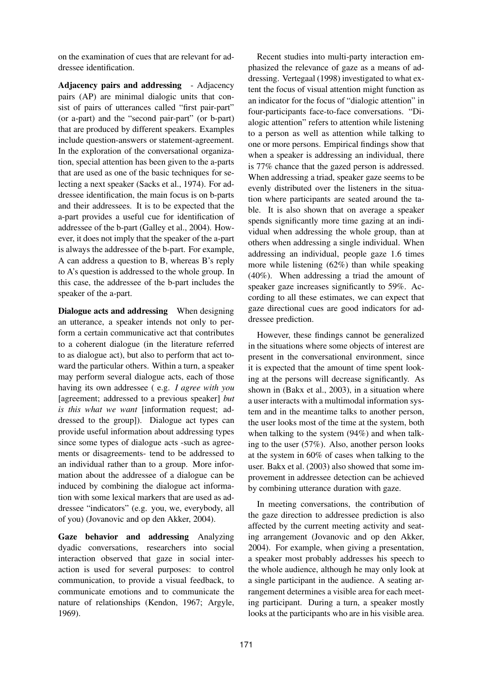on the examination of cues that are relevant for addressee identification.

**Adjacency pairs and addressing** - Adjacency pairs (AP) are minimal dialogic units that consist of pairs of utterances called "first pair-part" (or a-part) and the "second pair-part" (or b-part) that are produced by different speakers. Examples include question-answers or statement-agreement. In the exploration of the conversational organization, special attention has been given to the a-parts that are used as one of the basic techniques for selecting a next speaker (Sacks et al., 1974). For addressee identification, the main focus is on b-parts and their addressees. It is to be expected that the a-part provides a useful cue for identification of addressee of the b-part (Galley et al., 2004). However, it does not imply that the speaker of the a-part is always the addressee of the b-part. For example, A can address a question to B, whereas B's reply to A's question is addressed to the whole group. In this case, the addressee of the b-part includes the speaker of the a-part.

**Dialogue acts and addressing** When designing an utterance, a speaker intends not only to perform a certain communicative act that contributes to a coherent dialogue (in the literature referred to as dialogue act), but also to perform that act toward the particular others. Within a turn, a speaker may perform several dialogue acts, each of those having its own addressee ( e.g. *I agree with you* [agreement; addressed to a previous speaker] *but is this what we want* [information request; addressed to the group]). Dialogue act types can provide useful information about addressing types since some types of dialogue acts -such as agreements or disagreements- tend to be addressed to an individual rather than to a group. More information about the addressee of a dialogue can be induced by combining the dialogue act information with some lexical markers that are used as addressee "indicators" (e.g. you, we, everybody, all of you) (Jovanovic and op den Akker, 2004).

**Gaze behavior and addressing** Analyzing dyadic conversations, researchers into social interaction observed that gaze in social interaction is used for several purposes: to control communication, to provide a visual feedback, to communicate emotions and to communicate the nature of relationships (Kendon, 1967; Argyle, 1969).

Recent studies into multi-party interaction emphasized the relevance of gaze as a means of addressing. Vertegaal (1998) investigated to what extent the focus of visual attention might function as an indicator for the focus of "dialogic attention" in four-participants face-to-face conversations. "Dialogic attention" refers to attention while listening to a person as well as attention while talking to one or more persons. Empirical findings show that when a speaker is addressing an individual, there is 77% chance that the gazed person is addressed. When addressing a triad, speaker gaze seems to be evenly distributed over the listeners in the situation where participants are seated around the table. It is also shown that on average a speaker spends significantly more time gazing at an individual when addressing the whole group, than at others when addressing a single individual. When addressing an individual, people gaze 1.6 times more while listening (62%) than while speaking (40%). When addressing a triad the amount of speaker gaze increases significantly to 59%. According to all these estimates, we can expect that gaze directional cues are good indicators for addressee prediction.

However, these findings cannot be generalized in the situations where some objects of interest are present in the conversational environment, since it is expected that the amount of time spent looking at the persons will decrease significantly. As shown in (Bakx et al., 2003), in a situation where a user interacts with a multimodal information system and in the meantime talks to another person, the user looks most of the time at the system, both when talking to the system (94%) and when talking to the user (57%). Also, another person looks at the system in 60% of cases when talking to the user. Bakx et al. (2003) also showed that some improvement in addressee detection can be achieved by combining utterance duration with gaze.

In meeting conversations, the contribution of the gaze direction to addressee prediction is also affected by the current meeting activity and seating arrangement (Jovanovic and op den Akker, 2004). For example, when giving a presentation, a speaker most probably addresses his speech to the whole audience, although he may only look at a single participant in the audience. A seating arrangement determines a visible area for each meeting participant. During a turn, a speaker mostly looks at the participants who are in his visible area.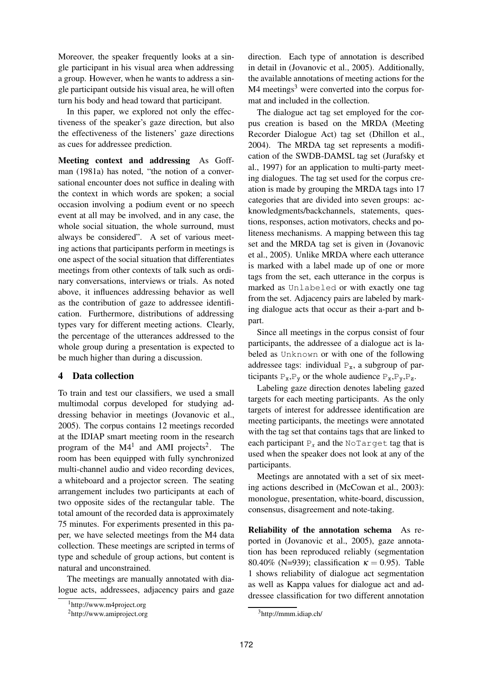Moreover, the speaker frequently looks at a single participant in his visual area when addressing a group. However, when he wants to address a single participant outside his visual area, he will often turn his body and head toward that participant.

In this paper, we explored not only the effectiveness of the speaker's gaze direction, but also the effectiveness of the listeners' gaze directions as cues for addressee prediction.

**Meeting context and addressing** As Goffman (1981a) has noted, "the notion of a conversational encounter does not suffice in dealing with the context in which words are spoken; a social occasion involving a podium event or no speech event at all may be involved, and in any case, the whole social situation, the whole surround, must always be considered". A set of various meeting actions that participants perform in meetings is one aspect of the social situation that differentiates meetings from other contexts of talk such as ordinary conversations, interviews or trials. As noted above, it influences addressing behavior as well as the contribution of gaze to addressee identification. Furthermore, distributions of addressing types vary for different meeting actions. Clearly, the percentage of the utterances addressed to the whole group during a presentation is expected to be much higher than during a discussion.

# **4 Data collection**

To train and test our classifiers, we used a small multimodal corpus developed for studying addressing behavior in meetings (Jovanovic et al., 2005). The corpus contains 12 meetings recorded at the IDIAP smart meeting room in the research program of the  $M4<sup>1</sup>$  and AMI projects<sup>2</sup>. The room has been equipped with fully synchronized multi-channel audio and video recording devices, a whiteboard and a projector screen. The seating arrangement includes two participants at each of two opposite sides of the rectangular table. The total amount of the recorded data is approximately 75 minutes. For experiments presented in this paper, we have selected meetings from the M4 data collection. These meetings are scripted in terms of type and schedule of group actions, but content is natural and unconstrained.

The meetings are manually annotated with dialogue acts, addressees, adjacency pairs and gaze direction. Each type of annotation is described in detail in (Jovanovic et al., 2005). Additionally, the available annotations of meeting actions for the M4 meetings<sup>3</sup> were converted into the corpus format and included in the collection.

The dialogue act tag set employed for the corpus creation is based on the MRDA (Meeting Recorder Dialogue Act) tag set (Dhillon et al., 2004). The MRDA tag set represents a modification of the SWDB-DAMSL tag set (Jurafsky et al., 1997) for an application to multi-party meeting dialogues. The tag set used for the corpus creation is made by grouping the MRDA tags into 17 categories that are divided into seven groups: acknowledgments/backchannels, statements, questions, responses, action motivators, checks and politeness mechanisms. A mapping between this tag set and the MRDA tag set is given in (Jovanovic et al., 2005). Unlike MRDA where each utterance is marked with a label made up of one or more tags from the set, each utterance in the corpus is marked as Unlabeled or with exactly one tag from the set. Adjacency pairs are labeled by marking dialogue acts that occur as their a-part and bpart.

Since all meetings in the corpus consist of four participants, the addressee of a dialogue act is labeled as Unknown or with one of the following addressee tags: individual  $P_x$ , a subgroup of participants  $P_x$ ,  $P_y$  or the whole audience  $P_x$ ,  $P_y$ ,  $P_z$ .

Labeling gaze direction denotes labeling gazed targets for each meeting participants. As the only targets of interest for addressee identification are meeting participants, the meetings were annotated with the tag set that contains tags that are linked to each participant  $P_x$  and the NoTarget tag that is used when the speaker does not look at any of the participants.

Meetings are annotated with a set of six meeting actions described in (McCowan et al., 2003): monologue, presentation, white-board, discussion, consensus, disagreement and note-taking.

**Reliability of the annotation schema** As reported in (Jovanovic et al., 2005), gaze annotation has been reproduced reliably (segmentation 80.40% (N=939); classification  $\kappa = 0.95$ ). Table 1 shows reliability of dialogue act segmentation as well as Kappa values for dialogue act and addressee classification for two different annotation

<sup>1</sup>http://www.m4project.org

<sup>2</sup>http://www.amiproject.org

<sup>&</sup>lt;sup>3</sup>http://mmm.idiap.ch/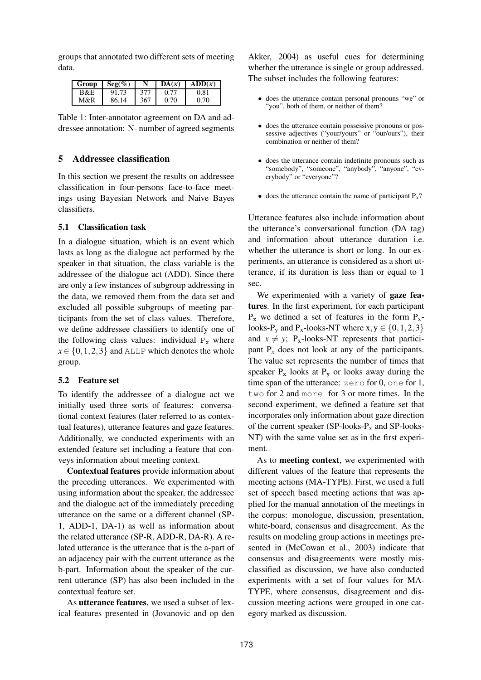groups that annotated two different sets of meeting data.

| Group | $\text{Seg}(\%)$ | N   | $DA(\kappa)$ | $ADD(\kappa)$ |
|-------|------------------|-----|--------------|---------------|
| B&E   | 91.73            | 377 |              | 0.81          |
| M&R   | 86.14            | 367 | 0.70         | 0.70          |

Table 1: Inter-annotator agreement on DA and addressee annotation: N- number of agreed segments

# **5 Addressee classification**

In this section we present the results on addressee classification in four-persons face-to-face meetings using Bayesian Network and Naive Bayes classifiers.

# **5.1 Classification task**

In a dialogue situation, which is an event which lasts as long as the dialogue act performed by the speaker in that situation, the class variable is the addressee of the dialogue act (ADD). Since there are only a few instances of subgroup addressing in the data, we removed them from the data set and excluded all possible subgroups of meeting participants from the set of class values. Therefore, we define addressee classifiers to identify one of the following class values: individual  $P_x$  where  $x \in \{0, 1, 2, 3\}$  and ALLP which denotes the whole group.

#### **5.2 Feature set**

To identify the addressee of a dialogue act we initially used three sorts of features: conversational context features (later referred to as contextual features), utterance features and gaze features. Additionally, we conducted experiments with an extended feature set including a feature that conveys information about meeting context.

**Contextual features** provide information about the preceding utterances. We experimented with using information about the speaker, the addressee and the dialogue act of the immediately preceding utterance on the same or a different channel (SP-1, ADD-1, DA-1) as well as information about the related utterance (SP-R, ADD-R, DA-R). A related utterance is the utterance that is the a-part of an adjacency pair with the current utterance as the b-part. Information about the speaker of the current utterance (SP) has also been included in the contextual feature set.

As **utterance features**, we used a subset of lexical features presented in (Jovanovic and op den

Akker, 2004) as useful cues for determining whether the utterance is single or group addressed. The subset includes the following features:

- does the utterance contain personal pronouns "we" or "you", both of them, or neither of them?
- does the utterance contain possessive pronouns or possessive adjectives ("your/yours" or "our/ours"), their combination or neither of them?
- does the utterance contain indefinite pronouns such as "somebody", "someone", "anybody", "anyone", "everybody" or "everyone"?
- does the utterance contain the name of participant  $P_x$ ?

Utterance features also include information about the utterance's conversational function (DA tag) and information about utterance duration i.e. whether the utterance is short or long. In our experiments, an utterance is considered as a short utterance, if its duration is less than or equal to 1 sec.

We experimented with a variety of **gaze features**. In the first experiment, for each participant  $P_x$  we defined a set of features in the form  $P_x$ looks-P<sub>y</sub> and P<sub>x</sub>-looks-NT where  $x, y \in \{0, 1, 2, 3\}$ and  $x \neq y$ ; P<sub>x</sub>-looks-NT represents that participant  $P<sub>x</sub>$  does not look at any of the participants. The value set represents the number of times that speaker  $P_x$  looks at  $P_y$  or looks away during the time span of the utterance: zero for 0, one for 1, two for 2 and more for 3 or more times. In the second experiment, we defined a feature set that incorporates only information about gaze direction of the current speaker  $(SP\text{-}\text{books-P}_x$  and  $SP\text{-}\text{books-}$ NT) with the same value set as in the first experiment.

As to **meeting context**, we experimented with different values of the feature that represents the meeting actions (MA-TYPE). First, we used a full set of speech based meeting actions that was applied for the manual annotation of the meetings in the corpus: monologue, discussion, presentation, white-board, consensus and disagreement. As the results on modeling group actions in meetings presented in (McCowan et al., 2003) indicate that consensus and disagreements were mostly misclassified as discussion, we have also conducted experiments with a set of four values for MA-TYPE, where consensus, disagreement and discussion meeting actions were grouped in one category marked as discussion.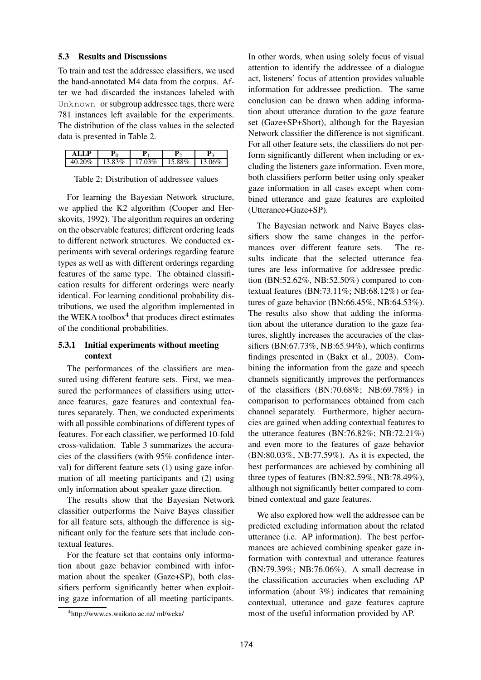#### **5.3 Results and Discussions**

To train and test the addressee classifiers, we used the hand-annotated M4 data from the corpus. After we had discarded the instances labeled with Unknown or subgroup addressee tags, there were 781 instances left available for the experiments. The distribution of the class values in the selected data is presented in Table 2.

| D | - | -    | - |
|---|---|------|---|
|   | % | $\%$ |   |

Table 2: Distribution of addressee values

For learning the Bayesian Network structure, we applied the K2 algorithm (Cooper and Herskovits, 1992). The algorithm requires an ordering on the observable features; different ordering leads to different network structures. We conducted experiments with several orderings regarding feature types as well as with different orderings regarding features of the same type. The obtained classification results for different orderings were nearly identical. For learning conditional probability distributions, we used the algorithm implemented in the WEKA toolbox<sup>4</sup> that produces direct estimates of the conditional probabilities.

## **5.3.1 Initial experiments without meeting context**

The performances of the classifiers are measured using different feature sets. First, we measured the performances of classifiers using utterance features, gaze features and contextual features separately. Then, we conducted experiments with all possible combinations of different types of features. For each classifier, we performed 10-fold cross-validation. Table 3 summarizes the accuracies of the classifiers (with 95% confidence interval) for different feature sets (1) using gaze information of all meeting participants and (2) using only information about speaker gaze direction.

The results show that the Bayesian Network classifier outperforms the Naive Bayes classifier for all feature sets, although the difference is significant only for the feature sets that include contextual features.

For the feature set that contains only information about gaze behavior combined with information about the speaker (Gaze+SP), both classifiers perform significantly better when exploiting gaze information of all meeting participants. In other words, when using solely focus of visual attention to identify the addressee of a dialogue act, listeners' focus of attention provides valuable information for addressee prediction. The same conclusion can be drawn when adding information about utterance duration to the gaze feature set (Gaze+SP+Short), although for the Bayesian Network classifier the difference is not significant. For all other feature sets, the classifiers do not perform significantly different when including or excluding the listeners gaze information. Even more, both classifiers perform better using only speaker gaze information in all cases except when combined utterance and gaze features are exploited (Utterance+Gaze+SP).

The Bayesian network and Naive Bayes classifiers show the same changes in the performances over different feature sets. The results indicate that the selected utterance features are less informative for addressee prediction (BN:52.62%, NB:52.50%) compared to contextual features (BN:73.11%; NB:68.12%) or features of gaze behavior (BN:66.45%, NB:64.53%). The results also show that adding the information about the utterance duration to the gaze features, slightly increases the accuracies of the classifiers (BN:67.73%, NB:65.94%), which confirms findings presented in (Bakx et al., 2003). Combining the information from the gaze and speech channels significantly improves the performances of the classifiers (BN:70.68%; NB:69.78%) in comparison to performances obtained from each channel separately. Furthermore, higher accuracies are gained when adding contextual features to the utterance features (BN:76.82%; NB:72.21%) and even more to the features of gaze behavior (BN:80.03%, NB:77.59%). As it is expected, the best performances are achieved by combining all three types of features (BN:82.59%, NB:78.49%), although not significantly better compared to combined contextual and gaze features.

We also explored how well the addressee can be predicted excluding information about the related utterance (i.e. AP information). The best performances are achieved combining speaker gaze information with contextual and utterance features (BN:79.39%; NB:76.06%). A small decrease in the classification accuracies when excluding AP information (about 3%) indicates that remaining contextual, utterance and gaze features capture most of the useful information provided by AP.

<sup>4</sup>http://www.cs.waikato.ac.nz/ ml/weka/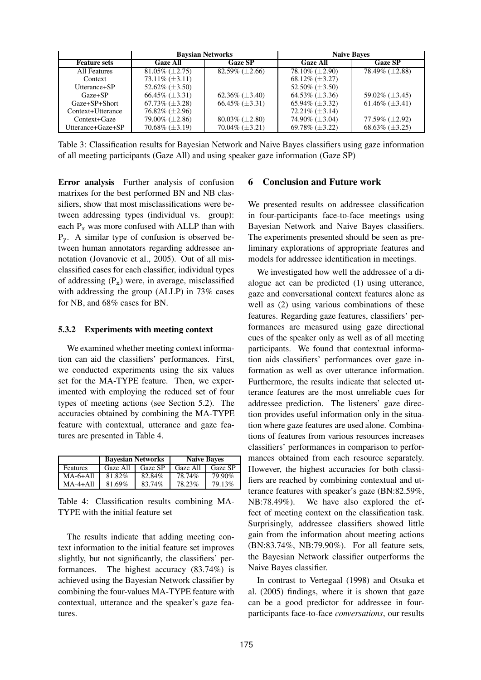|                     | <b>Baysian Networks</b>  |                          | <b>Naive Bayes</b>       |                          |
|---------------------|--------------------------|--------------------------|--------------------------|--------------------------|
| <b>Feature sets</b> | <b>Gaze All</b>          | <b>Gaze SP</b>           | <b>Gaze All</b>          | <b>Gaze SP</b>           |
| All Features        | $81.05\%$ ( $\pm 2.75$ ) | $82.59\%$ ( $\pm 2.66$ ) | $78.10\%$ ( $\pm 2.90$ ) | $78.49\% (\pm 2.88)$     |
| Context             | $73.11\%$ ( $\pm 3.11$ ) |                          | $68.12\%$ ( $\pm 3.27$ ) |                          |
| Utterance+SP        | 52.62\% $(\pm 3.50)$     |                          | 52.50% $(\pm 3.50)$      |                          |
| $Gaze + SP$         | $66.45\%$ ( $\pm 3.31$ ) | $62.36\%$ ( $\pm 3.40$ ) | $64.53\%$ ( $\pm 3.36$ ) | 59.02\% $(\pm 3.45)$     |
| Gaze+SP+Short       | $67.73\%$ ( $\pm 3.28$ ) | $66.45\%$ ( $\pm 3.31$ ) | 65.94\% $(\pm 3.32)$     | 61.46\% $(\pm 3.41)$     |
| Context+Utterance   | $76.82\%$ ( $\pm 2.96$ ) |                          | $72.21\%$ ( $\pm 3.14$ ) |                          |
| Context+Gaze        | $79.00\%$ ( $\pm 2.86$ ) | $80.03\%$ ( $\pm 2.80$ ) | 74.90% $(\pm 3.04)$      | 77.59% (±2.92)           |
| Utterance+Gaze+SP   | $70.68\%$ ( $\pm 3.19$ ) | $70.04\%$ ( $\pm 3.21$ ) | 69.78% $(\pm 3.22)$      | $68.63\%$ ( $\pm 3.25$ ) |

Table 3: Classification results for Bayesian Network and Naive Bayes classifiers using gaze information of all meeting participants (Gaze All) and using speaker gaze information (Gaze SP)

**Error analysis** Further analysis of confusion matrixes for the best performed BN and NB classifiers, show that most misclassifications were between addressing types (individual vs. group): each  $P_x$  was more confused with ALLP than with Py. A similar type of confusion is observed between human annotators regarding addressee annotation (Jovanovic et al., 2005). Out of all misclassified cases for each classifier, individual types of addressing  $(P_x)$  were, in average, misclassified with addressing the group (ALLP) in 73% cases for NB, and 68% cases for BN.

#### **5.3.2 Experiments with meeting context**

We examined whether meeting context information can aid the classifiers' performances. First, we conducted experiments using the six values set for the MA-TYPE feature. Then, we experimented with employing the reduced set of four types of meeting actions (see Section 5.2). The accuracies obtained by combining the MA-TYPE feature with contextual, utterance and gaze features are presented in Table 4.

|            | <b>Bayesian Networks</b> |         | <b>Naive Bayes</b> |         |
|------------|--------------------------|---------|--------------------|---------|
| Features   | Gaze All                 | Gaze SP | Gaze All           | Gaze SP |
| $MA-6+All$ | 81.82%                   | 82.84%  | 78.74%             | 79.90%  |
| $MA-4+All$ | 81.69%                   | 83.74%  | 78.23%             | 79.13%  |

Table 4: Classification results combining MA-TYPE with the initial feature set

The results indicate that adding meeting context information to the initial feature set improves slightly, but not significantly, the classifiers' performances. The highest accuracy (83.74%) is achieved using the Bayesian Network classifier by combining the four-values MA-TYPE feature with contextual, utterance and the speaker's gaze features.

## **6 Conclusion and Future work**

We presented results on addressee classification in four-participants face-to-face meetings using Bayesian Network and Naive Bayes classifiers. The experiments presented should be seen as preliminary explorations of appropriate features and models for addressee identification in meetings.

We investigated how well the addressee of a dialogue act can be predicted (1) using utterance, gaze and conversational context features alone as well as (2) using various combinations of these features. Regarding gaze features, classifiers' performances are measured using gaze directional cues of the speaker only as well as of all meeting participants. We found that contextual information aids classifiers' performances over gaze information as well as over utterance information. Furthermore, the results indicate that selected utterance features are the most unreliable cues for addressee prediction. The listeners' gaze direction provides useful information only in the situation where gaze features are used alone. Combinations of features from various resources increases classifiers' performances in comparison to performances obtained from each resource separately. However, the highest accuracies for both classifiers are reached by combining contextual and utterance features with speaker's gaze (BN:82.59%, NB:78.49%). We have also explored the effect of meeting context on the classification task. Surprisingly, addressee classifiers showed little gain from the information about meeting actions (BN:83.74%, NB:79.90%). For all feature sets, the Bayesian Network classifier outperforms the Naive Bayes classifier.

In contrast to Vertegaal (1998) and Otsuka et al. (2005) findings, where it is shown that gaze can be a good predictor for addressee in fourparticipants face-to-face *conversations*, our results